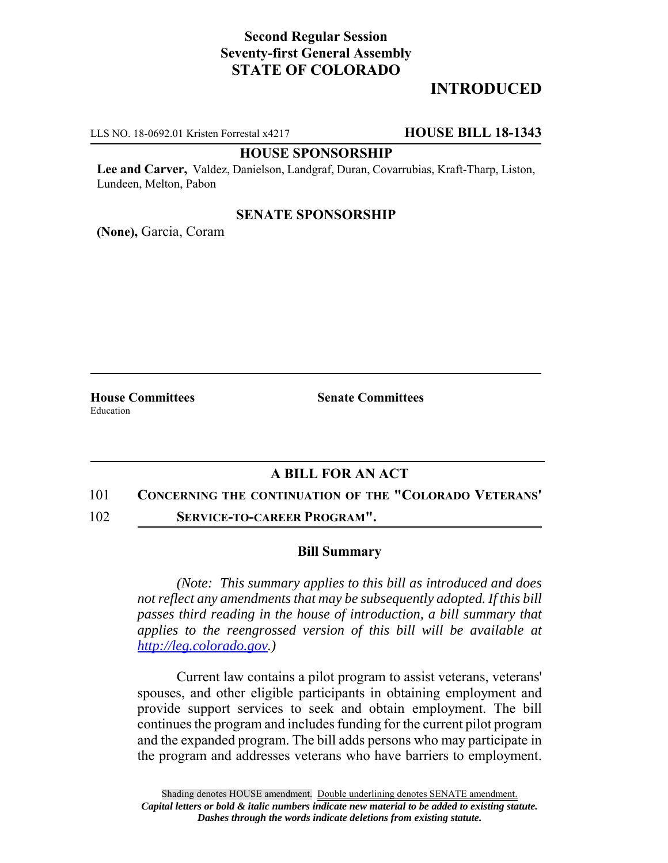# **Second Regular Session Seventy-first General Assembly STATE OF COLORADO**

# **INTRODUCED**

LLS NO. 18-0692.01 Kristen Forrestal x4217 **HOUSE BILL 18-1343**

#### **HOUSE SPONSORSHIP**

**Lee and Carver,** Valdez, Danielson, Landgraf, Duran, Covarrubias, Kraft-Tharp, Liston, Lundeen, Melton, Pabon

#### **SENATE SPONSORSHIP**

**(None),** Garcia, Coram

Education

**House Committees Senate Committees** 

### **A BILL FOR AN ACT**

- 101 **CONCERNING THE CONTINUATION OF THE "COLORADO VETERANS'**
- 102 **SERVICE-TO-CAREER PROGRAM".**

### **Bill Summary**

*(Note: This summary applies to this bill as introduced and does not reflect any amendments that may be subsequently adopted. If this bill passes third reading in the house of introduction, a bill summary that applies to the reengrossed version of this bill will be available at http://leg.colorado.gov.)*

Current law contains a pilot program to assist veterans, veterans' spouses, and other eligible participants in obtaining employment and provide support services to seek and obtain employment. The bill continues the program and includes funding for the current pilot program and the expanded program. The bill adds persons who may participate in the program and addresses veterans who have barriers to employment.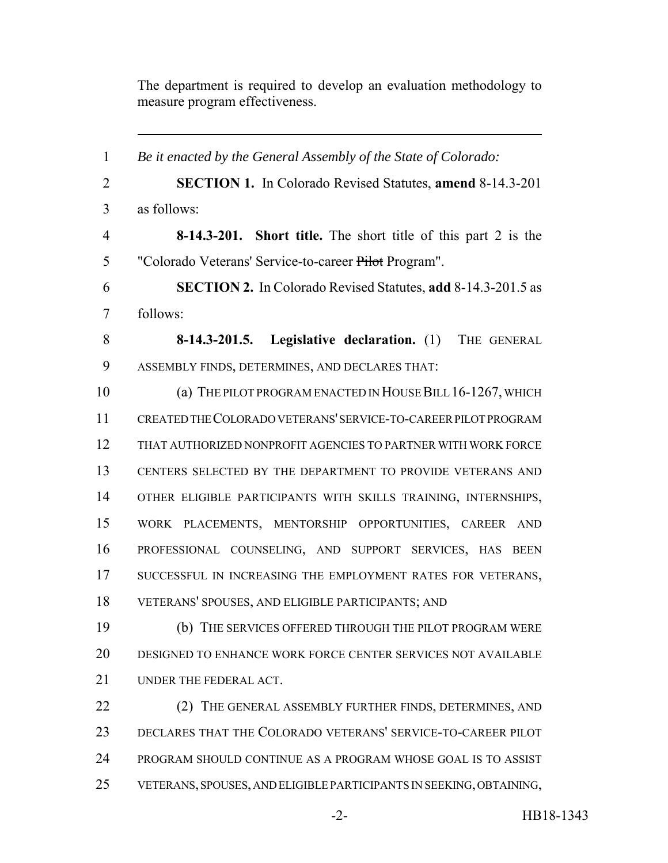The department is required to develop an evaluation methodology to measure program effectiveness.

 *Be it enacted by the General Assembly of the State of Colorado:* **SECTION 1.** In Colorado Revised Statutes, **amend** 8-14.3-201 as follows: **8-14.3-201. Short title.** The short title of this part 2 is the "Colorado Veterans' Service-to-career Pilot Program". **SECTION 2.** In Colorado Revised Statutes, **add** 8-14.3-201.5 as follows: **8-14.3-201.5. Legislative declaration.** (1) THE GENERAL ASSEMBLY FINDS, DETERMINES, AND DECLARES THAT: (a) THE PILOT PROGRAM ENACTED IN HOUSE BILL 16-1267, WHICH CREATED THE COLORADO VETERANS' SERVICE-TO-CAREER PILOT PROGRAM THAT AUTHORIZED NONPROFIT AGENCIES TO PARTNER WITH WORK FORCE CENTERS SELECTED BY THE DEPARTMENT TO PROVIDE VETERANS AND OTHER ELIGIBLE PARTICIPANTS WITH SKILLS TRAINING, INTERNSHIPS, WORK PLACEMENTS, MENTORSHIP OPPORTUNITIES, CAREER AND PROFESSIONAL COUNSELING, AND SUPPORT SERVICES, HAS BEEN 17 SUCCESSFUL IN INCREASING THE EMPLOYMENT RATES FOR VETERANS, VETERANS' SPOUSES, AND ELIGIBLE PARTICIPANTS; AND (b) THE SERVICES OFFERED THROUGH THE PILOT PROGRAM WERE DESIGNED TO ENHANCE WORK FORCE CENTER SERVICES NOT AVAILABLE UNDER THE FEDERAL ACT. 22 (2) THE GENERAL ASSEMBLY FURTHER FINDS, DETERMINES, AND DECLARES THAT THE COLORADO VETERANS' SERVICE-TO-CAREER PILOT PROGRAM SHOULD CONTINUE AS A PROGRAM WHOSE GOAL IS TO ASSIST VETERANS, SPOUSES, AND ELIGIBLE PARTICIPANTS IN SEEKING, OBTAINING,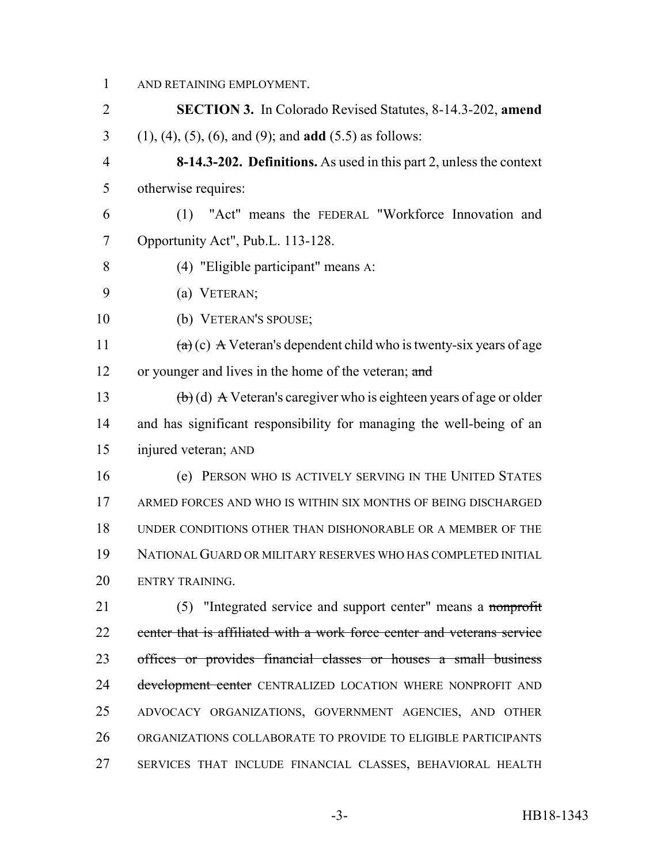AND RETAINING EMPLOYMENT.

- **SECTION 3.** In Colorado Revised Statutes, 8-14.3-202, **amend** (1), (4), (5), (6), and (9); and **add** (5.5) as follows:
- **8-14.3-202. Definitions.** As used in this part 2, unless the context otherwise requires:
- (1) "Act" means the FEDERAL "Workforce Innovation and Opportunity Act", Pub.L. 113-128.
- (4) "Eligible participant" means A:
- (a) VETERAN;
- (b) VETERAN'S SPOUSE;
- 11  $(a)(c)$  A Veteran's dependent child who is twenty-six years of age 12 or younger and lives in the home of the veteran; and

13 (b) (d) A Veteran's caregiver who is eighteen years of age or older and has significant responsibility for managing the well-being of an injured veteran; AND

 (e) PERSON WHO IS ACTIVELY SERVING IN THE UNITED STATES ARMED FORCES AND WHO IS WITHIN SIX MONTHS OF BEING DISCHARGED UNDER CONDITIONS OTHER THAN DISHONORABLE OR A MEMBER OF THE NATIONAL GUARD OR MILITARY RESERVES WHO HAS COMPLETED INITIAL ENTRY TRAINING.

 (5) "Integrated service and support center" means a nonprofit 22 center that is affiliated with a work force center and veterans service offices or provides financial classes or houses a small business 24 development center CENTRALIZED LOCATION WHERE NONPROFIT AND ADVOCACY ORGANIZATIONS, GOVERNMENT AGENCIES, AND OTHER ORGANIZATIONS COLLABORATE TO PROVIDE TO ELIGIBLE PARTICIPANTS SERVICES THAT INCLUDE FINANCIAL CLASSES, BEHAVIORAL HEALTH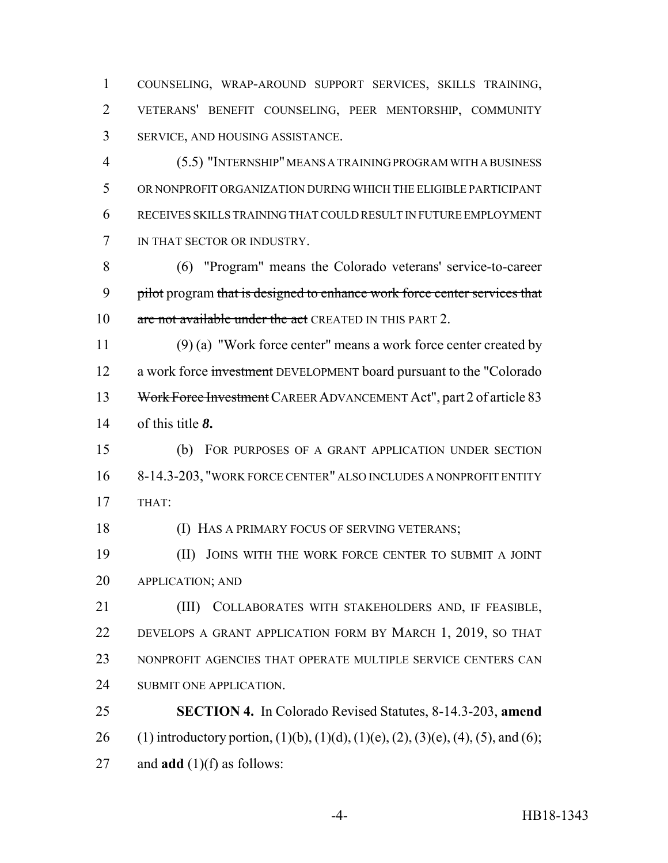COUNSELING, WRAP-AROUND SUPPORT SERVICES, SKILLS TRAINING, VETERANS' BENEFIT COUNSELING, PEER MENTORSHIP, COMMUNITY SERVICE, AND HOUSING ASSISTANCE.

 (5.5) "INTERNSHIP" MEANS A TRAINING PROGRAM WITH A BUSINESS OR NONPROFIT ORGANIZATION DURING WHICH THE ELIGIBLE PARTICIPANT RECEIVES SKILLS TRAINING THAT COULD RESULT IN FUTURE EMPLOYMENT IN THAT SECTOR OR INDUSTRY.

 (6) "Program" means the Colorado veterans' service-to-career 9 pilot program that is designed to enhance work force center services that 10 are not available under the act CREATED IN THIS PART 2.

 (9) (a) "Work force center" means a work force center created by 12 a work force investment DEVELOPMENT board pursuant to the "Colorado" Work Force Investment CAREER ADVANCEMENT Act", part 2 of article 83 of this title *8***.**

 (b) FOR PURPOSES OF A GRANT APPLICATION UNDER SECTION 8-14.3-203, "WORK FORCE CENTER" ALSO INCLUDES A NONPROFIT ENTITY THAT:

(I) HAS A PRIMARY FOCUS OF SERVING VETERANS;

 (II) JOINS WITH THE WORK FORCE CENTER TO SUBMIT A JOINT APPLICATION; AND

 (III) COLLABORATES WITH STAKEHOLDERS AND, IF FEASIBLE, DEVELOPS A GRANT APPLICATION FORM BY MARCH 1, 2019, SO THAT NONPROFIT AGENCIES THAT OPERATE MULTIPLE SERVICE CENTERS CAN SUBMIT ONE APPLICATION.

 **SECTION 4.** In Colorado Revised Statutes, 8-14.3-203, **amend** 26 (1) introductory portion, (1)(b), (1)(d), (1)(e), (2), (3)(e), (4), (5), and (6); and **add** (1)(f) as follows: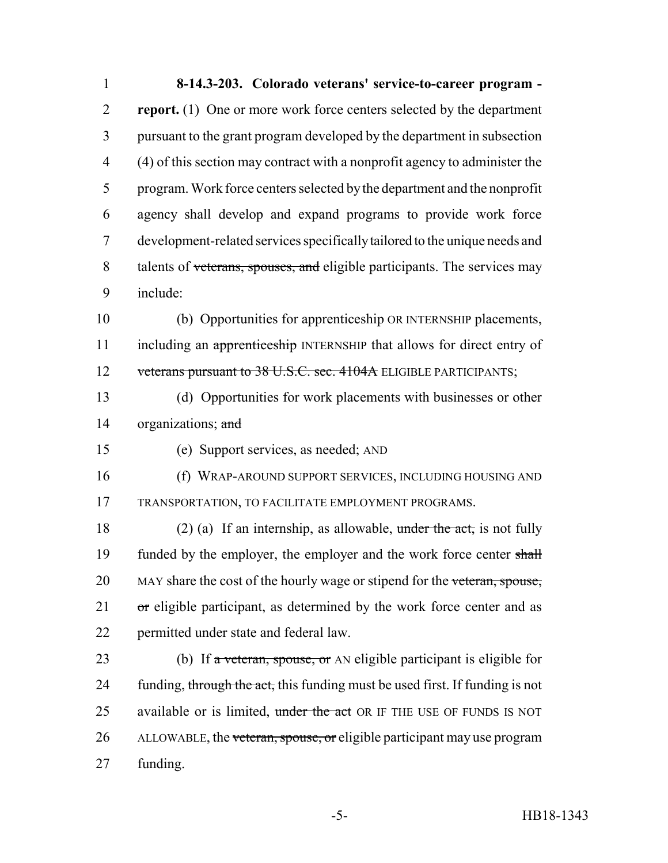1 **8-14.3-203. Colorado veterans' service-to-career program -** 2 **report.** (1) One or more work force centers selected by the department 3 pursuant to the grant program developed by the department in subsection 4 (4) of this section may contract with a nonprofit agency to administer the 5 program. Work force centers selected by the department and the nonprofit 6 agency shall develop and expand programs to provide work force 7 development-related services specifically tailored to the unique needs and 8 talents of veterans, spouses, and eligible participants. The services may 9 include: 10 (b) Opportunities for apprenticeship OR INTERNSHIP placements, 11 including an apprenticeship INTERNSHIP that allows for direct entry of 12 veterans pursuant to 38 U.S.C. sec. 4104A ELIGIBLE PARTICIPANTS; 13 (d) Opportunities for work placements with businesses or other 14 organizations; and 15 (e) Support services, as needed; AND 16 (f) WRAP-AROUND SUPPORT SERVICES, INCLUDING HOUSING AND 17 TRANSPORTATION, TO FACILITATE EMPLOYMENT PROGRAMS. 18 (2) (a) If an internship, as allowable, under the act, is not fully 19 funded by the employer, the employer and the work force center shall 20 MAY share the cost of the hourly wage or stipend for the veteran, spouse,  $21$  or eligible participant, as determined by the work force center and as 22 permitted under state and federal law. 23 (b) If  $\alpha$  veteran, spouse, or AN eligible participant is eligible for 24 funding, through the act, this funding must be used first. If funding is not 25 available or is limited, under the act OR IF THE USE OF FUNDS IS NOT 26 ALLOWABLE, the veteran, spouse, or eligible participant may use program 27 funding.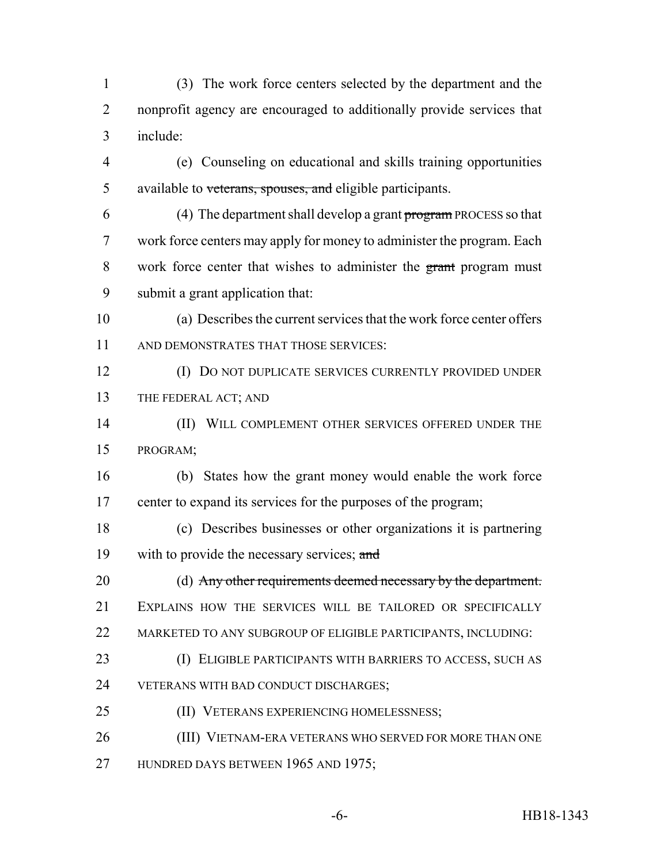(3) The work force centers selected by the department and the nonprofit agency are encouraged to additionally provide services that include:

- (e) Counseling on educational and skills training opportunities 5 available to veterans, spouses, and eligible participants.
- 6 (4) The department shall develop a grant program PROCESS so that work force centers may apply for money to administer the program. Each work force center that wishes to administer the grant program must submit a grant application that:
- (a) Describes the current services that the work force center offers AND DEMONSTRATES THAT THOSE SERVICES:
- (I) DO NOT DUPLICATE SERVICES CURRENTLY PROVIDED UNDER THE FEDERAL ACT; AND
- 14 (II) WILL COMPLEMENT OTHER SERVICES OFFERED UNDER THE PROGRAM;
- (b) States how the grant money would enable the work force center to expand its services for the purposes of the program;
- (c) Describes businesses or other organizations it is partnering 19 with to provide the necessary services; and
- (d) Any other requirements deemed necessary by the department. EXPLAINS HOW THE SERVICES WILL BE TAILORED OR SPECIFICALLY MARKETED TO ANY SUBGROUP OF ELIGIBLE PARTICIPANTS, INCLUDING:
- (I) ELIGIBLE PARTICIPANTS WITH BARRIERS TO ACCESS, SUCH AS VETERANS WITH BAD CONDUCT DISCHARGES;
- 25 (II) VETERANS EXPERIENCING HOMELESSNESS;
- (III) VIETNAM-ERA VETERANS WHO SERVED FOR MORE THAN ONE
- 27 HUNDRED DAYS BETWEEN 1965 AND 1975;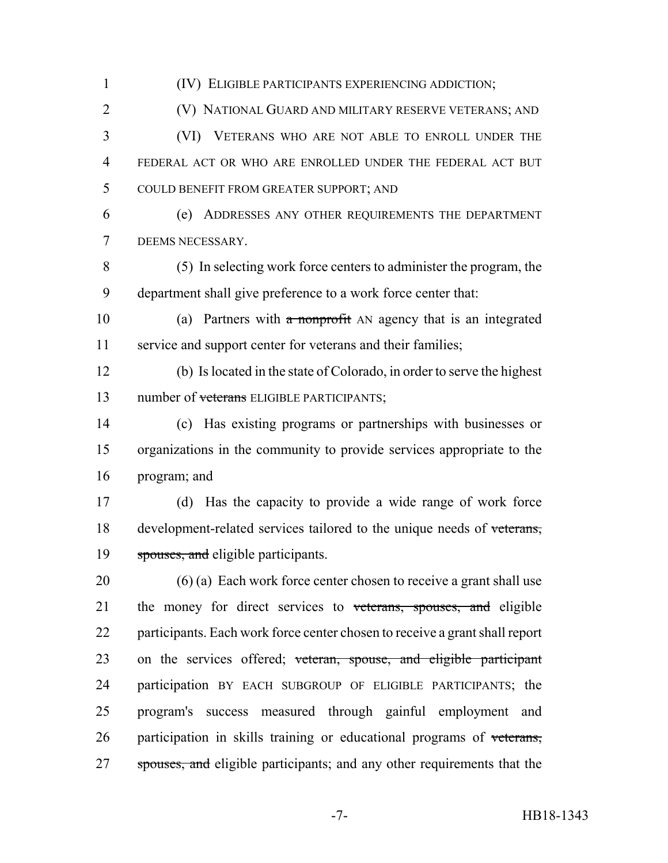(IV) ELIGIBLE PARTICIPANTS EXPERIENCING ADDICTION; (V) NATIONAL GUARD AND MILITARY RESERVE VETERANS; AND (VI) VETERANS WHO ARE NOT ABLE TO ENROLL UNDER THE FEDERAL ACT OR WHO ARE ENROLLED UNDER THE FEDERAL ACT BUT COULD BENEFIT FROM GREATER SUPPORT; AND (e) ADDRESSES ANY OTHER REQUIREMENTS THE DEPARTMENT DEEMS NECESSARY. (5) In selecting work force centers to administer the program, the department shall give preference to a work force center that: 10 (a) Partners with a nonprofit AN agency that is an integrated service and support center for veterans and their families; (b) Is located in the state of Colorado, in order to serve the highest 13 number of veterans ELIGIBLE PARTICIPANTS; (c) Has existing programs or partnerships with businesses or organizations in the community to provide services appropriate to the program; and (d) Has the capacity to provide a wide range of work force 18 development-related services tailored to the unique needs of veterans, 19 spouses, and eligible participants. (6) (a) Each work force center chosen to receive a grant shall use 21 the money for direct services to veterans, spouses, and eligible participants. Each work force center chosen to receive a grant shall report 23 on the services offered; veteran, spouse, and eligible participant participation BY EACH SUBGROUP OF ELIGIBLE PARTICIPANTS; the program's success measured through gainful employment and participation in skills training or educational programs of veterans, 27 spouses, and eligible participants; and any other requirements that the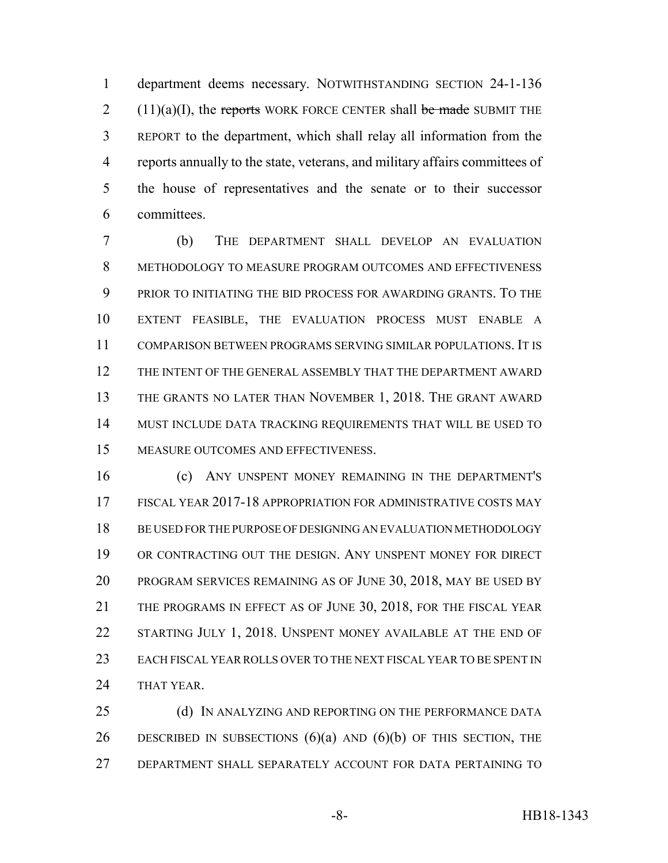department deems necessary. NOTWITHSTANDING SECTION 24-1-136  $2(11)(a)(I)$ , the reports WORK FORCE CENTER shall be made SUBMIT THE REPORT to the department, which shall relay all information from the reports annually to the state, veterans, and military affairs committees of the house of representatives and the senate or to their successor committees.

 (b) THE DEPARTMENT SHALL DEVELOP AN EVALUATION METHODOLOGY TO MEASURE PROGRAM OUTCOMES AND EFFECTIVENESS PRIOR TO INITIATING THE BID PROCESS FOR AWARDING GRANTS. TO THE EXTENT FEASIBLE, THE EVALUATION PROCESS MUST ENABLE A COMPARISON BETWEEN PROGRAMS SERVING SIMILAR POPULATIONS. IT IS THE INTENT OF THE GENERAL ASSEMBLY THAT THE DEPARTMENT AWARD THE GRANTS NO LATER THAN NOVEMBER 1, 2018. THE GRANT AWARD MUST INCLUDE DATA TRACKING REQUIREMENTS THAT WILL BE USED TO MEASURE OUTCOMES AND EFFECTIVENESS.

 (c) ANY UNSPENT MONEY REMAINING IN THE DEPARTMENT'S FISCAL YEAR 2017-18 APPROPRIATION FOR ADMINISTRATIVE COSTS MAY BE USED FOR THE PURPOSE OF DESIGNING AN EVALUATION METHODOLOGY OR CONTRACTING OUT THE DESIGN. ANY UNSPENT MONEY FOR DIRECT PROGRAM SERVICES REMAINING AS OF JUNE 30, 2018, MAY BE USED BY THE PROGRAMS IN EFFECT AS OF JUNE 30, 2018, FOR THE FISCAL YEAR 22 STARTING JULY 1, 2018. UNSPENT MONEY AVAILABLE AT THE END OF EACH FISCAL YEAR ROLLS OVER TO THE NEXT FISCAL YEAR TO BE SPENT IN THAT YEAR.

25 (d) IN ANALYZING AND REPORTING ON THE PERFORMANCE DATA 26 DESCRIBED IN SUBSECTIONS  $(6)(a)$  AND  $(6)(b)$  OF THIS SECTION, THE DEPARTMENT SHALL SEPARATELY ACCOUNT FOR DATA PERTAINING TO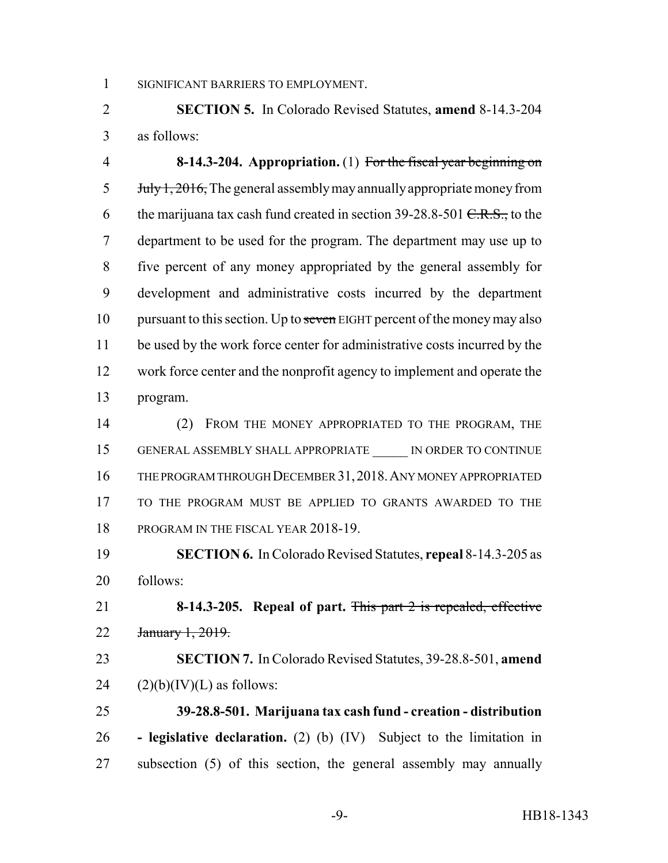SIGNIFICANT BARRIERS TO EMPLOYMENT.

 **SECTION 5.** In Colorado Revised Statutes, **amend** 8-14.3-204 as follows:

 **8-14.3-204. Appropriation.** (1) For the fiscal year beginning on July 1, 2016, The general assembly may annually appropriate money from 6 the marijuana tax cash fund created in section  $39-28.8-501$  C.R.S., to the department to be used for the program. The department may use up to five percent of any money appropriated by the general assembly for development and administrative costs incurred by the department 10 pursuant to this section. Up to seven EIGHT percent of the money may also be used by the work force center for administrative costs incurred by the work force center and the nonprofit agency to implement and operate the program.

 (2) FROM THE MONEY APPROPRIATED TO THE PROGRAM, THE 15 GENERAL ASSEMBLY SHALL APPROPRIATE IN ORDER TO CONTINUE THE PROGRAM THROUGH DECEMBER 31,2018.ANY MONEY APPROPRIATED TO THE PROGRAM MUST BE APPLIED TO GRANTS AWARDED TO THE 18 PROGRAM IN THE FISCAL YEAR 2018-19.

 **SECTION 6.** In Colorado Revised Statutes, **repeal** 8-14.3-205 as follows:

 **8-14.3-205. Repeal of part.** This part 2 is repealed, effective January 1, 2019.

 **SECTION 7.** In Colorado Revised Statutes, 39-28.8-501, **amend** 24  $(2)(b)(IV)(L)$  as follows:

 **39-28.8-501. Marijuana tax cash fund - creation - distribution - legislative declaration.** (2) (b) (IV) Subject to the limitation in subsection (5) of this section, the general assembly may annually